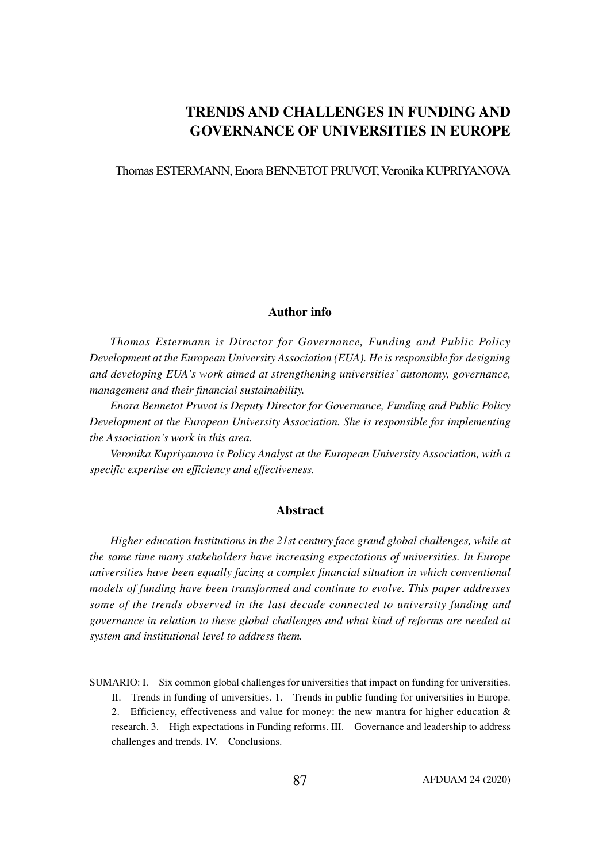# **TRENDS AND CHALLENGES IN FUNDING AND GOVERNANCE OF UNIVERSITIES IN EUROPE**

Thomas ESTERMANN, Enora BENNETOT PRUVOT, Veronika KUPRIYANOVA

### **Author info**

*Thomas Estermann is Director for Governance, Funding and Public Policy Development at the European University Association (EUA). He is responsible for designing and developing EUA's work aimed at strengthening universities' autonomy, governance, management and their financial sustainability.*

*Enora Bennetot Pruvot is Deputy Director for Governance, Funding and Public Policy Development at the European University Association. She is responsible for implementing the Association's work in this area.*

*Veronika Kupriyanova is Policy Analyst at the European University Association, with a specific expertise on efficiency and effectiveness.*

### **Abstract**

*Higher education Institutions in the 21st century face grand global challenges, while at the same time many stakeholders have increasing expectations of universities. In Europe universities have been equally facing a complex financial situation in which conventional models of funding have been transformed and continue to evolve. This paper addresses some of the trends observed in the last decade connected to university funding and governance in relation to these global challenges and what kind of reforms are needed at system and institutional level to address them.*

SUMARIO: I. Six common global challenges for universities that impact on funding for universities.

II. Trends in funding of universities. 1. Trends in public funding for universities in Europe.

2. Efficiency, effectiveness and value for money: the new mantra for higher education  $\&$ research. 3. High expectations in Funding reforms. III. Governance and leadership to address challenges and trends. IV. Conclusions.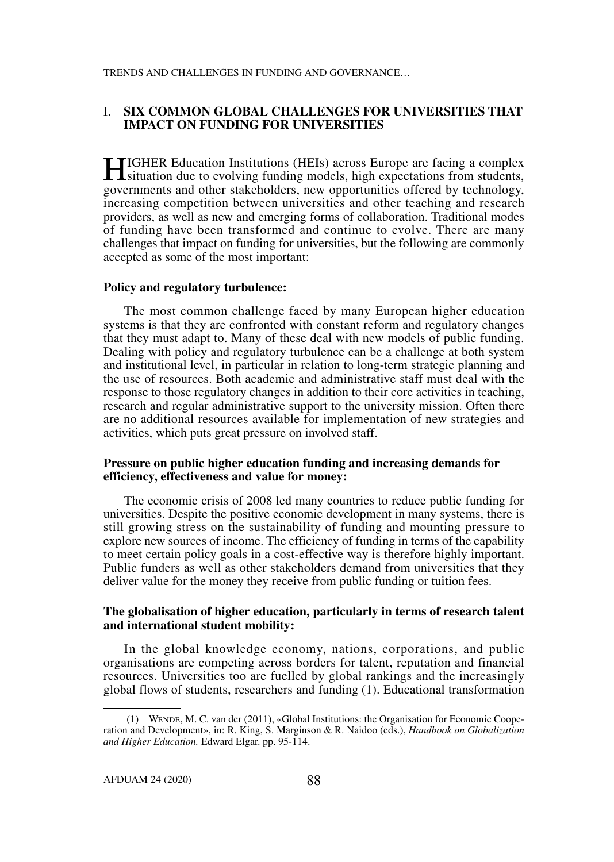# I. **SIX COMMON GLOBAL CHALLENGES FOR UNIVERSITIES THAT IMPACT ON FUNDING FOR UNIVERSITIES**

HIGHER Education Institutions (HEIs) across Europe are facing a complex situation due to evolving funding models, high expectations from students, governments and other stakeholders, new opportunities offered by technology, increasing competition between universities and other teaching and research providers, as well as new and emerging forms of collaboration. Traditional modes of funding have been transformed and continue to evolve. There are many challenges that impact on funding for universities, but the following are commonly accepted as some of the most important:

#### **Policy and regulatory turbulence:**

The most common challenge faced by many European higher education systems is that they are confronted with constant reform and regulatory changes that they must adapt to. Many of these deal with new models of public funding. Dealing with policy and regulatory turbulence can be a challenge at both system and institutional level, in particular in relation to long-term strategic planning and the use of resources. Both academic and administrative staff must deal with the response to those regulatory changes in addition to their core activities in teaching, research and regular administrative support to the university mission. Often there are no additional resources available for implementation of new strategies and activities, which puts great pressure on involved staff.

### **Pressure on public higher education funding and increasing demands for efficiency, effectiveness and value for money:**

The economic crisis of 2008 led many countries to reduce public funding for universities. Despite the positive economic development in many systems, there is still growing stress on the sustainability of funding and mounting pressure to explore new sources of income. The efficiency of funding in terms of the capability to meet certain policy goals in a cost-effective way is therefore highly important. Public funders as well as other stakeholders demand from universities that they deliver value for the money they receive from public funding or tuition fees.

### **The globalisation of higher education, particularly in terms of research talent and international student mobility:**

In the global knowledge economy, nations, corporations, and public organisations are competing across borders for talent, reputation and financial resources. Universities too are fuelled by global rankings and the increasingly global flows of students, researchers and funding (1). Educational transformation

 <sup>(1)</sup> Wende, M. C. van der (2011), «Global Institutions: the Organisation for Economic Cooperation and Development», in: R. King, S. Marginson & R. Naidoo (eds.), *Handbook on Globalization and Higher Education.* Edward Elgar. pp. 95-114.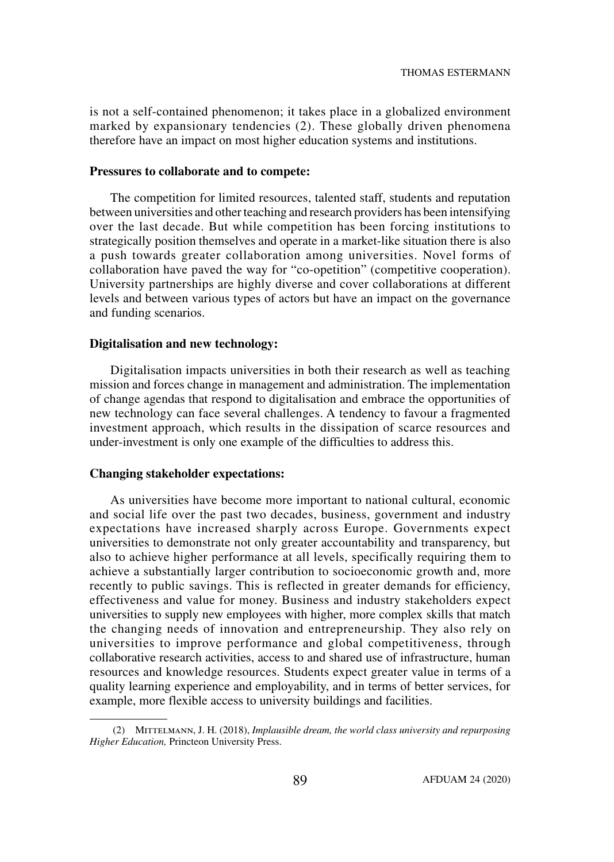is not a self-contained phenomenon; it takes place in a globalized environment marked by expansionary tendencies (2). These globally driven phenomena therefore have an impact on most higher education systems and institutions.

#### **Pressures to collaborate and to compete:**

The competition for limited resources, talented staff, students and reputation between universities and other teaching and research providers has been intensifying over the last decade. But while competition has been forcing institutions to strategically position themselves and operate in a market-like situation there is also a push towards greater collaboration among universities. Novel forms of collaboration have paved the way for "co-opetition" (competitive cooperation). University partnerships are highly diverse and cover collaborations at different levels and between various types of actors but have an impact on the governance and funding scenarios.

### **Digitalisation and new technology:**

Digitalisation impacts universities in both their research as well as teaching mission and forces change in management and administration. The implementation of change agendas that respond to digitalisation and embrace the opportunities of new technology can face several challenges. A tendency to favour a fragmented investment approach, which results in the dissipation of scarce resources and under-investment is only one example of the difficulties to address this.

# **Changing stakeholder expectations:**

As universities have become more important to national cultural, economic and social life over the past two decades, business, government and industry expectations have increased sharply across Europe. Governments expect universities to demonstrate not only greater accountability and transparency, but also to achieve higher performance at all levels, specifically requiring them to achieve a substantially larger contribution to socioeconomic growth and, more recently to public savings. This is reflected in greater demands for efficiency, effectiveness and value for money. Business and industry stakeholders expect universities to supply new employees with higher, more complex skills that match the changing needs of innovation and entrepreneurship. They also rely on universities to improve performance and global competitiveness, through collaborative research activities, access to and shared use of infrastructure, human resources and knowledge resources. Students expect greater value in terms of a quality learning experience and employability, and in terms of better services, for example, more flexible access to university buildings and facilities.

 <sup>(2)</sup> Mittelmann, J. H. (2018), *Implausible dream, the world class university and repurposing Higher Education,* Princteon University Press.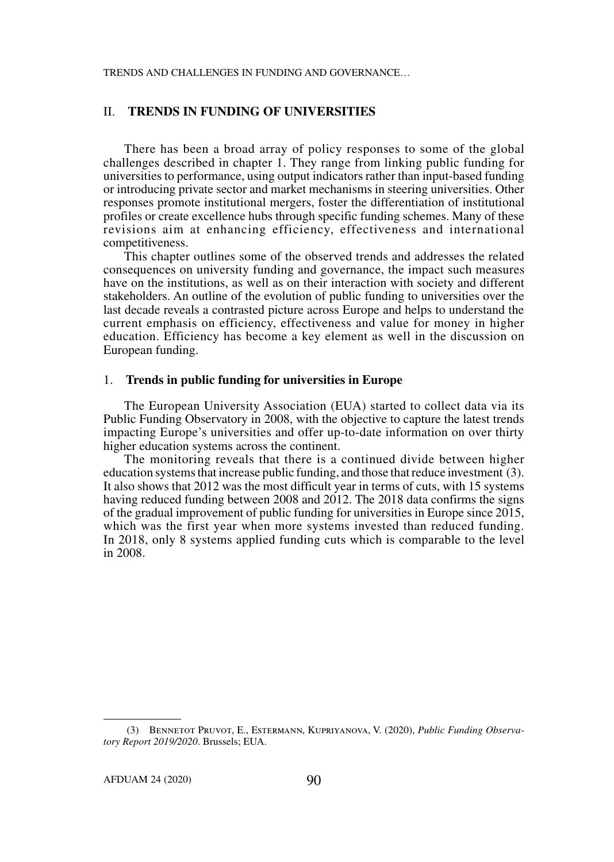# II. **TRENDS IN FUNDING OF UNIVERSITIES**

There has been a broad array of policy responses to some of the global challenges described in chapter 1. They range from linking public funding for universities to performance, using output indicators rather than input-based funding or introducing private sector and market mechanisms in steering universities. Other responses promote institutional mergers, foster the differentiation of institutional profiles or create excellence hubs through specific funding schemes. Many of these revisions aim at enhancing efficiency, effectiveness and international competitiveness.

This chapter outlines some of the observed trends and addresses the related consequences on university funding and governance, the impact such measures have on the institutions, as well as on their interaction with society and different stakeholders. An outline of the evolution of public funding to universities over the last decade reveals a contrasted picture across Europe and helps to understand the current emphasis on efficiency, effectiveness and value for money in higher education. Efficiency has become a key element as well in the discussion on European funding.

#### 1. **Trends in public funding for universities in Europe**

The European University Association (EUA) started to collect data via its Public Funding Observatory in 2008, with the objective to capture the latest trends impacting Europe's universities and offer up-to-date information on over thirty higher education systems across the continent.

The monitoring reveals that there is a continued divide between higher education systems that increase public funding, and those that reduce investment (3). It also shows that 2012 was the most difficult year in terms of cuts, with 15 systems having reduced funding between 2008 and 2012. The 2018 data confirms the signs of the gradual improvement of public funding for universities in Europe since 2015, which was the first year when more systems invested than reduced funding. In 2018, only 8 systems applied funding cuts which is comparable to the level in 2008.

 <sup>(3)</sup> Bennetot Pruvot, E., Estermann, Kupriyanova, V. (2020), *Public Funding Observatory Report 2019/2020*. Brussels; EUA.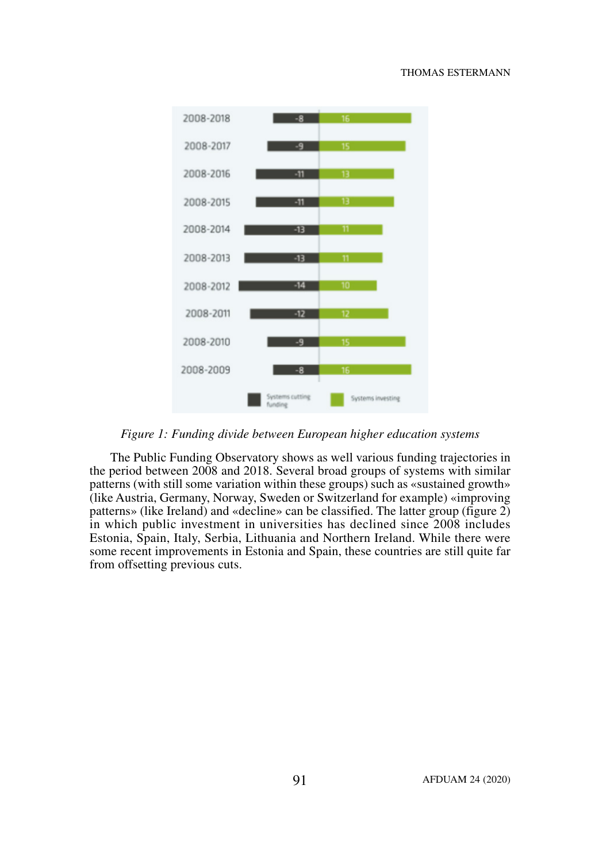#### THOMAS ESTERMANN



*Figure 1: Funding divide between European higher education systems*

The Public Funding Observatory shows as well various funding trajectories in the period between 2008 and 2018. Several broad groups of systems with similar patterns (with still some variation within these groups) such as «sustained growth» (like Austria, Germany, Norway, Sweden or Switzerland for example) «improving patterns» (like Ireland) and «decline» can be classified. The latter group (figure 2) in which public investment in universities has declined since 2008 includes Estonia, Spain, Italy, Serbia, Lithuania and Northern Ireland. While there were some recent improvements in Estonia and Spain, these countries are still quite far from offsetting previous cuts.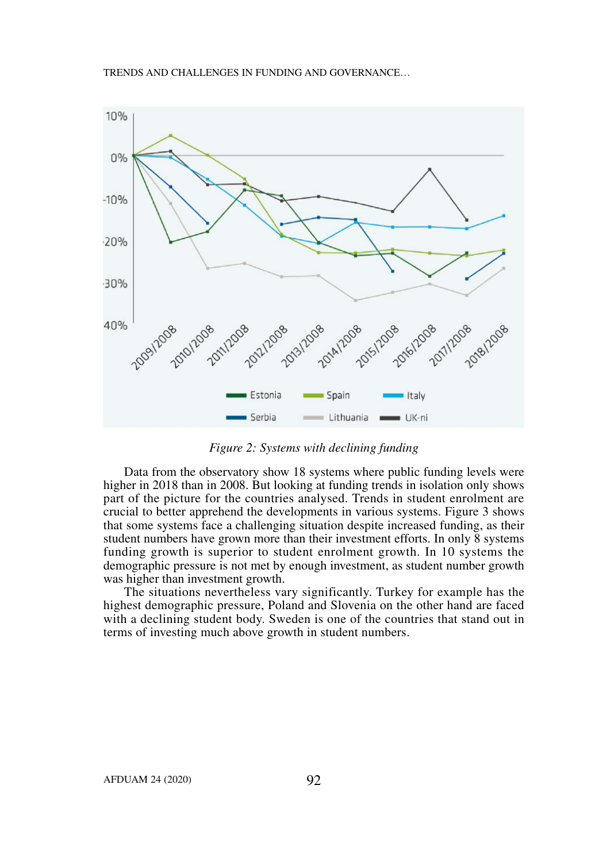

*Figure 2: Systems with declining funding*

Data from the observatory show 18 systems where public funding levels were higher in 2018 than in 2008. But looking at funding trends in isolation only shows part of the picture for the countries analysed. Trends in student enrolment are crucial to better apprehend the developments in various systems. Figure 3 shows that some systems face a challenging situation despite increased funding, as their student numbers have grown more than their investment efforts. In only 8 systems funding growth is superior to student enrolment growth. In 10 systems the demographic pressure is not met by enough investment, as student number growth was higher than investment growth.

The situations nevertheless vary significantly. Turkey for example has the highest demographic pressure, Poland and Slovenia on the other hand are faced with a declining student body. Sweden is one of the countries that stand out in terms of investing much above growth in student numbers.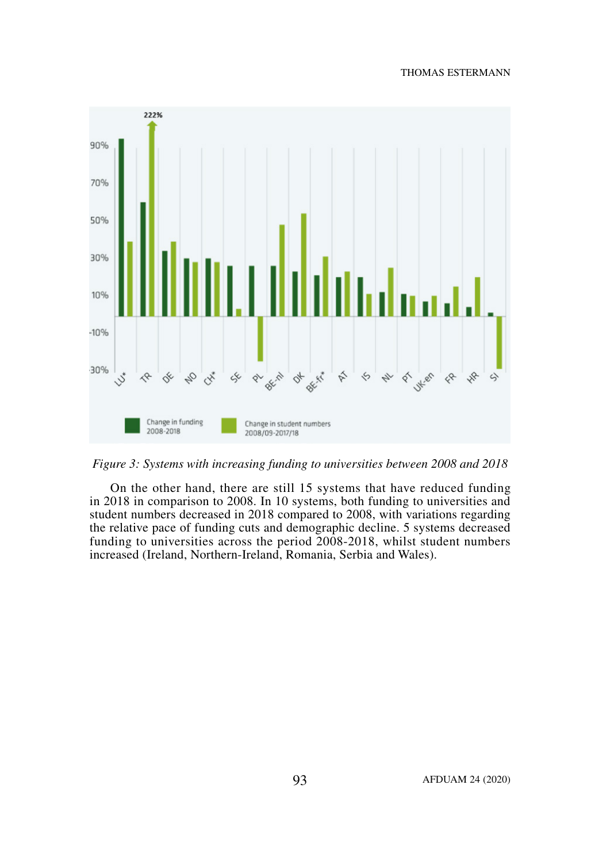#### THOMAS ESTERMANN



*Figure 3: Systems with increasing funding to universities between 2008 and 2018*

On the other hand, there are still 15 systems that have reduced funding in 2018 in comparison to 2008. In 10 systems, both funding to universities and student numbers decreased in 2018 compared to 2008, with variations regarding the relative pace of funding cuts and demographic decline. 5 systems decreased funding to universities across the period 2008-2018, whilst student numbers increased (Ireland, Northern-Ireland, Romania, Serbia and Wales).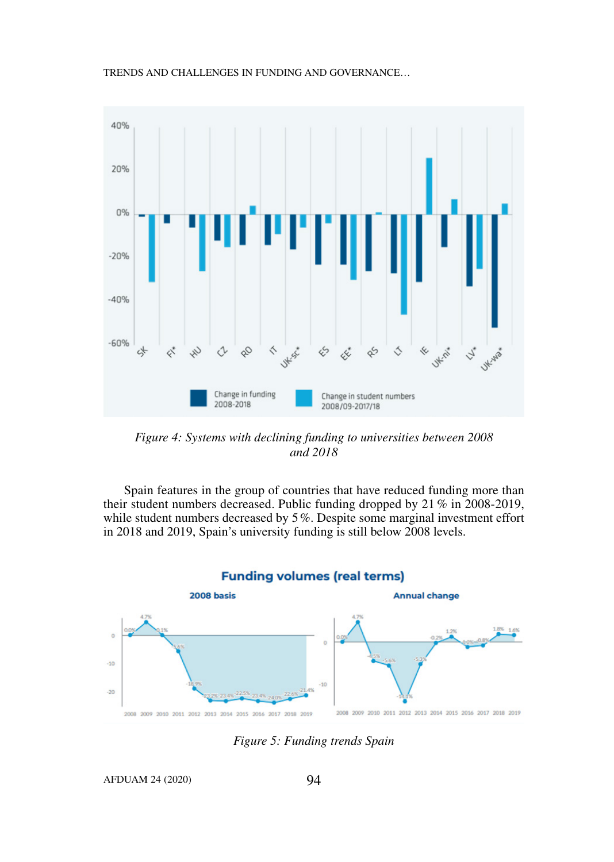



*Figure 4: Systems with declining funding to universities between 2008 and 2018*

Spain features in the group of countries that have reduced funding more than their student numbers decreased. Public funding dropped by 21 % in 2008-2019, while student numbers decreased by 5%. Despite some marginal investment effort in 2018 and 2019, Spain's university funding is still below 2008 levels.



**Funding volumes (real terms)** 

*Figure 5: Funding trends Spain*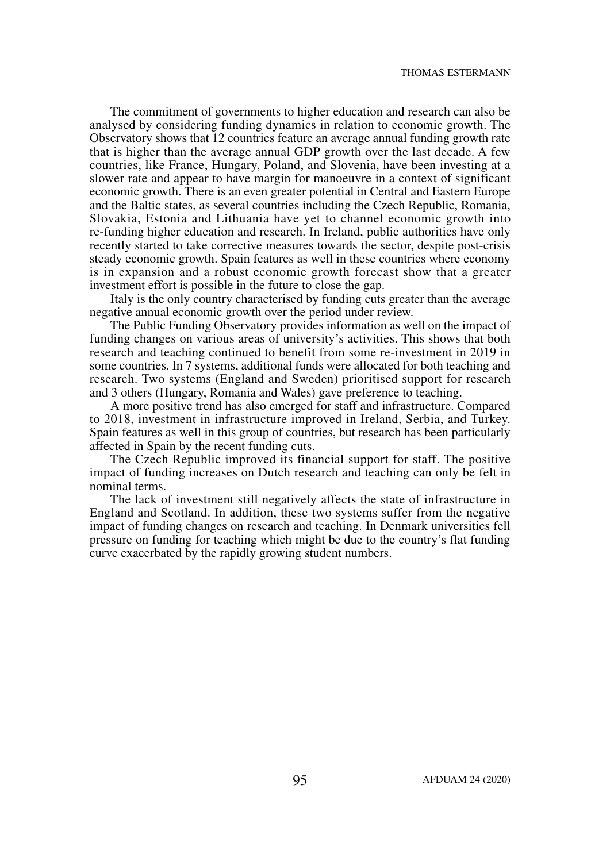The commitment of governments to higher education and research can also be analysed by considering funding dynamics in relation to economic growth. The Observatory shows that 12 countries feature an average annual funding growth rate that is higher than the average annual GDP growth over the last decade. A few countries, like France, Hungary, Poland, and Slovenia, have been investing at a slower rate and appear to have margin for manoeuvre in a context of significant economic growth. There is an even greater potential in Central and Eastern Europe and the Baltic states, as several countries including the Czech Republic, Romania, Slovakia, Estonia and Lithuania have yet to channel economic growth into re-funding higher education and research. In Ireland, public authorities have only recently started to take corrective measures towards the sector, despite post-crisis steady economic growth. Spain features as well in these countries where economy is in expansion and a robust economic growth forecast show that a greater investment effort is possible in the future to close the gap.

Italy is the only country characterised by funding cuts greater than the average negative annual economic growth over the period under review.

The Public Funding Observatory provides information as well on the impact of funding changes on various areas of university's activities. This shows that both research and teaching continued to benefit from some re-investment in 2019 in some countries. In 7 systems, additional funds were allocated for both teaching and research. Two systems (England and Sweden) prioritised support for research and 3 others (Hungary, Romania and Wales) gave preference to teaching.

A more positive trend has also emerged for staff and infrastructure. Compared to 2018, investment in infrastructure improved in Ireland, Serbia, and Turkey. Spain features as well in this group of countries, but research has been particularly affected in Spain by the recent funding cuts.

The Czech Republic improved its financial support for staff. The positive impact of funding increases on Dutch research and teaching can only be felt in nominal terms.

The lack of investment still negatively affects the state of infrastructure in England and Scotland. In addition, these two systems suffer from the negative impact of funding changes on research and teaching. In Denmark universities fell pressure on funding for teaching which might be due to the country's flat funding curve exacerbated by the rapidly growing student numbers.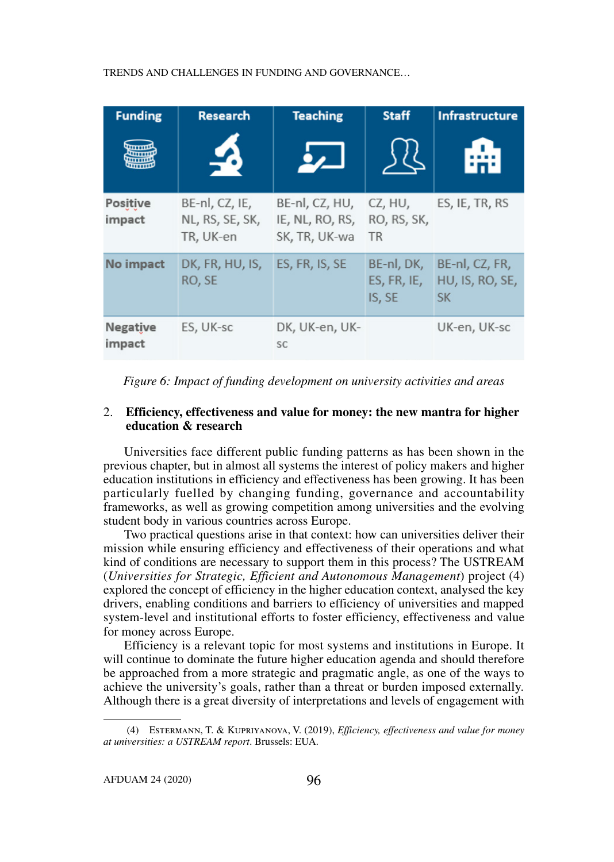| <b>Funding</b>            | <b>Research</b>                                | <b>Teaching</b>                                    | <b>Staff</b>                        | <b>Infrastructure</b>                          |
|---------------------------|------------------------------------------------|----------------------------------------------------|-------------------------------------|------------------------------------------------|
|                           |                                                |                                                    |                                     |                                                |
| Positive<br>impact        | BE-nl, CZ, IE,<br>NL, RS, SE, SK,<br>TR, UK-en | BE-nl, CZ, HU,<br>IE, NL, RO, RS,<br>SK, TR, UK-wa | CZ, HU,<br>RO, RS, SK,<br><b>TR</b> | ES, IE, TR, RS                                 |
| No impact                 | DK, FR, HU, IS,<br>RO, SE                      | ES, FR, IS, SE                                     | BE-nl, DK,<br>ES, FR, IE,<br>IS, SE | BE-nl, CZ, FR,<br>HU, IS, RO, SE,<br><b>SK</b> |
| <b>Negative</b><br>impact | ES, UK-sc                                      | DK, UK-en, UK-<br><b>SC</b>                        |                                     | UK-en, UK-sc                                   |

*Figure 6: Impact of funding development on university activities and areas*

# 2. **Efficiency, effectiveness and value for money: the new mantra for higher education & research**

Universities face different public funding patterns as has been shown in the previous chapter, but in almost all systems the interest of policy makers and higher education institutions in efficiency and effectiveness has been growing. It has been particularly fuelled by changing funding, governance and accountability frameworks, as well as growing competition among universities and the evolving student body in various countries across Europe.

Two practical questions arise in that context: how can universities deliver their mission while ensuring efficiency and effectiveness of their operations and what kind of conditions are necessary to support them in this process? The USTREAM (*Universities for Strategic, Efficient and Autonomous Management*) project (4) explored the concept of efficiency in the higher education context, analysed the key drivers, enabling conditions and barriers to efficiency of universities and mapped system-level and institutional efforts to foster efficiency, effectiveness and value for money across Europe.

Efficiency is a relevant topic for most systems and institutions in Europe. It will continue to dominate the future higher education agenda and should therefore be approached from a more strategic and pragmatic angle, as one of the ways to achieve the university's goals, rather than a threat or burden imposed externally. Although there is a great diversity of interpretations and levels of engagement with

 <sup>(4)</sup> Estermann, T. & Kupriyanova, V. (2019), *Efficiency, effectiveness and value for money at universities: a USTREAM report*. Brussels: EUA.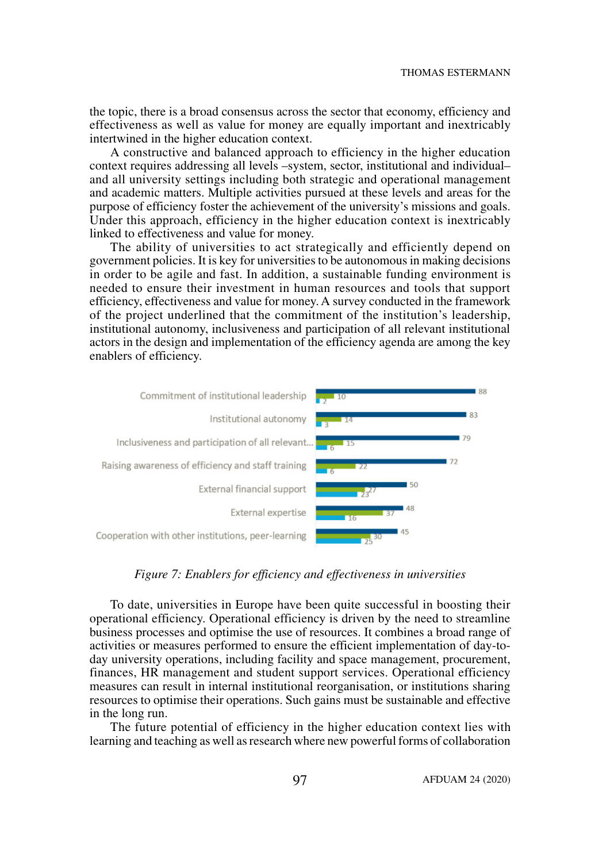the topic, there is a broad consensus across the sector that economy, efficiency and effectiveness as well as value for money are equally important and inextricably intertwined in the higher education context.

A constructive and balanced approach to efficiency in the higher education context requires addressing all levels –system, sector, institutional and individual– and all university settings including both strategic and operational management and academic matters. Multiple activities pursued at these levels and areas for the purpose of efficiency foster the achievement of the university's missions and goals. Under this approach, efficiency in the higher education context is inextricably linked to effectiveness and value for money.

The ability of universities to act strategically and efficiently depend on government policies. It is key for universities to be autonomous in making decisions in order to be agile and fast. In addition, a sustainable funding environment is needed to ensure their investment in human resources and tools that support efficiency, effectiveness and value for money. A survey conducted in the framework of the project underlined that the commitment of the institution's leadership, institutional autonomy, inclusiveness and participation of all relevant institutional actors in the design and implementation of the efficiency agenda are among the key enablers of efficiency.



#### *Figure 7: Enablers for efficiency and effectiveness in universities*

To date, universities in Europe have been quite successful in boosting their operational efficiency. Operational efficiency is driven by the need to streamline business processes and optimise the use of resources. It combines a broad range of activities or measures performed to ensure the efficient implementation of day-today university operations, including facility and space management, procurement, finances, HR management and student support services. Operational efficiency measures can result in internal institutional reorganisation, or institutions sharing resources to optimise their operations. Such gains must be sustainable and effective in the long run.

The future potential of efficiency in the higher education context lies with learning and teaching as well as research where new powerful forms of collaboration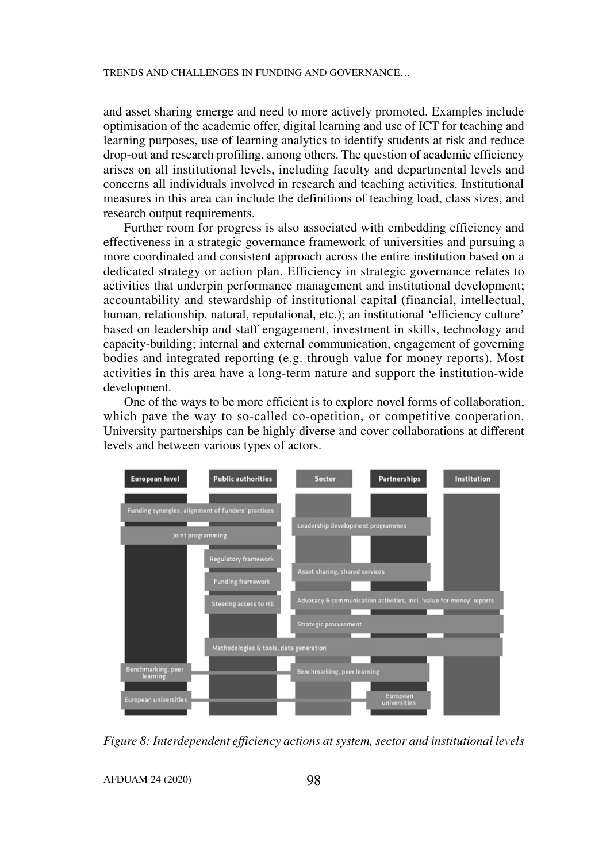and asset sharing emerge and need to more actively promoted. Examples include optimisation of the academic offer, digital learning and use of ICT for teaching and learning purposes, use of learning analytics to identify students at risk and reduce drop-out and research profiling, among others. The question of academic efficiency arises on all institutional levels, including faculty and departmental levels and concerns all individuals involved in research and teaching activities. Institutional measures in this area can include the definitions of teaching load, class sizes, and research output requirements.

Further room for progress is also associated with embedding efficiency and effectiveness in a strategic governance framework of universities and pursuing a more coordinated and consistent approach across the entire institution based on a dedicated strategy or action plan. Efficiency in strategic governance relates to activities that underpin performance management and institutional development; accountability and stewardship of institutional capital (financial, intellectual, human, relationship, natural, reputational, etc.); an institutional 'efficiency culture' based on leadership and staff engagement, investment in skills, technology and capacity-building; internal and external communication, engagement of governing bodies and integrated reporting (e.g. through value for money reports). Most activities in this area have a long-term nature and support the institution-wide development.

One of the ways to be more efficient is to explore novel forms of collaboration, which pave the way to so-called co-opetition, or competitive cooperation. University partnerships can be highly diverse and cover collaborations at different levels and between various types of actors.



*Figure 8: Interdependent efficiency actions at system, sector and institutional levels*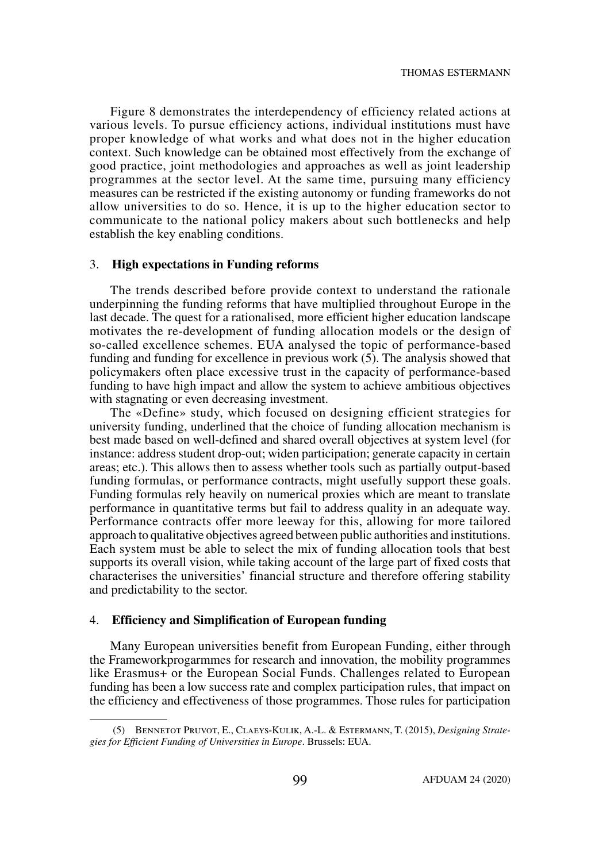Figure 8 demonstrates the interdependency of efficiency related actions at various levels. To pursue efficiency actions, individual institutions must have proper knowledge of what works and what does not in the higher education context. Such knowledge can be obtained most effectively from the exchange of good practice, joint methodologies and approaches as well as joint leadership programmes at the sector level. At the same time, pursuing many efficiency measures can be restricted if the existing autonomy or funding frameworks do not allow universities to do so. Hence, it is up to the higher education sector to communicate to the national policy makers about such bottlenecks and help establish the key enabling conditions.

#### 3. **High expectations in Funding reforms**

The trends described before provide context to understand the rationale underpinning the funding reforms that have multiplied throughout Europe in the last decade. The quest for a rationalised, more efficient higher education landscape motivates the re-development of funding allocation models or the design of so-called excellence schemes. EUA analysed the topic of performance-based funding and funding for excellence in previous work (5). The analysis showed that policymakers often place excessive trust in the capacity of performance-based funding to have high impact and allow the system to achieve ambitious objectives with stagnating or even decreasing investment.

The «Define» study, which focused on designing efficient strategies for university funding, underlined that the choice of funding allocation mechanism is best made based on well-defined and shared overall objectives at system level (for instance: address student drop-out; widen participation; generate capacity in certain areas; etc.). This allows then to assess whether tools such as partially output-based funding formulas, or performance contracts, might usefully support these goals. Funding formulas rely heavily on numerical proxies which are meant to translate performance in quantitative terms but fail to address quality in an adequate way. Performance contracts offer more leeway for this, allowing for more tailored approach to qualitative objectives agreed between public authorities and institutions. Each system must be able to select the mix of funding allocation tools that best supports its overall vision, while taking account of the large part of fixed costs that characterises the universities' financial structure and therefore offering stability and predictability to the sector.

#### 4. **Efficiency and Simplification of European funding**

Many European universities benefit from European Funding, either through the Frameworkprogarmmes for research and innovation, the mobility programmes like Erasmus+ or the European Social Funds. Challenges related to European funding has been a low success rate and complex participation rules, that impact on the efficiency and effectiveness of those programmes. Those rules for participation

 <sup>(5)</sup> Bennetot Pruvot, E., Claeys-Kulik, A.-L. & Estermann, T. (2015), *Designing Strategies for Efficient Funding of Universities in Europe*. Brussels: EUA.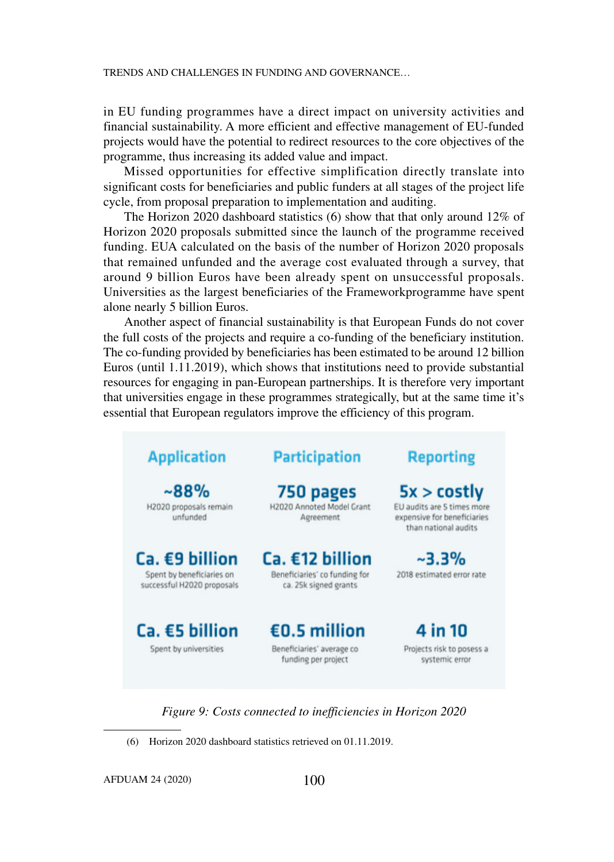in EU funding programmes have a direct impact on university activities and financial sustainability. A more efficient and effective management of EU-funded projects would have the potential to redirect resources to the core objectives of the programme, thus increasing its added value and impact.

Missed opportunities for effective simplification directly translate into significant costs for beneficiaries and public funders at all stages of the project life cycle, from proposal preparation to implementation and auditing.

The Horizon 2020 dashboard statistics (6) show that that only around 12% of Horizon 2020 proposals submitted since the launch of the programme received funding. EUA calculated on the basis of the number of Horizon 2020 proposals that remained unfunded and the average cost evaluated through a survey, that around 9 billion Euros have been already spent on unsuccessful proposals. Universities as the largest beneficiaries of the Frameworkprogramme have spent alone nearly 5 billion Euros.

Another aspect of financial sustainability is that European Funds do not cover the full costs of the projects and require a co-funding of the beneficiary institution. The co-funding provided by beneficiaries has been estimated to be around 12 billion Euros (until 1.11.2019), which shows that institutions need to provide substantial resources for engaging in pan-European partnerships. It is therefore very important that universities engage in these programmes strategically, but at the same time it's essential that European regulators improve the efficiency of this program.

| <b>Application</b>                                                        | <b>Participation</b>                                                      | <b>Reporting</b>                                                                               |
|---------------------------------------------------------------------------|---------------------------------------------------------------------------|------------------------------------------------------------------------------------------------|
| $~88\%$<br>H2020 proposals remain<br>unfunded                             | 750 pages<br>H2020 Annoted Model Crant<br>Agreement                       | 5x > cost<br>EU audits are 5 times more<br>expensive for beneficiaries<br>than national audits |
| Ca. €9 billion<br>Spent by beneficiaries on<br>successful H2020 proposals | Ca. €12 billion<br>Beneficiaries' co funding for<br>ca. 25k signed grants | $~2.3\%$<br>2018 estimated error rate                                                          |
| $Ca. \epsilon 5$ billion<br>Spent by universities                         | €0.5 million<br>Beneficiaries' average co<br>funding per project          | 4 in 10<br>Projects risk to posess a<br>systemic error                                         |

*Figure 9: Costs connected to inefficiencies in Horizon 2020*

(6) Horizon 2020 dashboard statistics retrieved on 01.11.2019.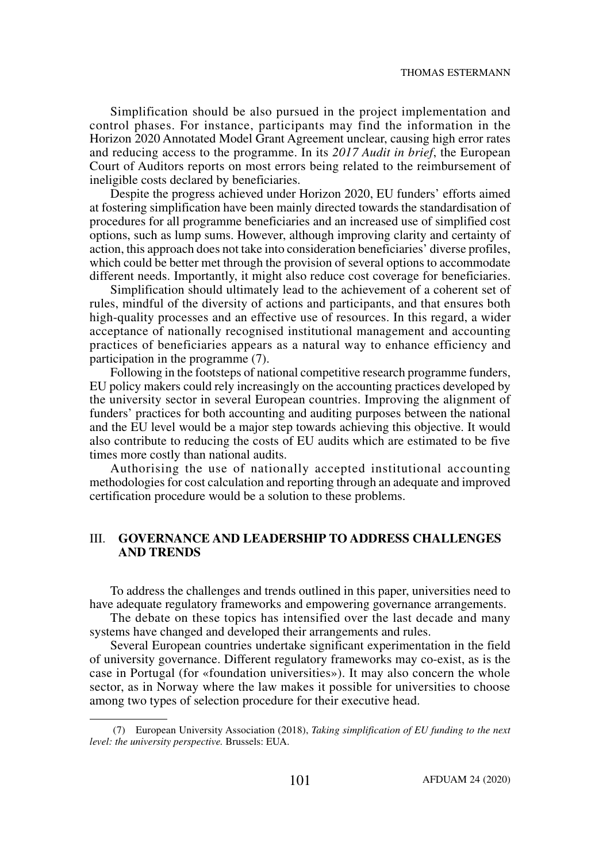Simplification should be also pursued in the project implementation and control phases. For instance, participants may find the information in the Horizon 2020 Annotated Model Grant Agreement unclear, causing high error rates and reducing access to the programme. In its *2017 Audit in brief*, the European Court of Auditors reports on most errors being related to the reimbursement of ineligible costs declared by beneficiaries.

Despite the progress achieved under Horizon 2020, EU funders' efforts aimed at fostering simplification have been mainly directed towards the standardisation of procedures for all programme beneficiaries and an increased use of simplified cost options, such as lump sums. However, although improving clarity and certainty of action, this approach does not take into consideration beneficiaries' diverse profiles, which could be better met through the provision of several options to accommodate different needs. Importantly, it might also reduce cost coverage for beneficiaries.

Simplification should ultimately lead to the achievement of a coherent set of rules, mindful of the diversity of actions and participants, and that ensures both high-quality processes and an effective use of resources. In this regard, a wider acceptance of nationally recognised institutional management and accounting practices of beneficiaries appears as a natural way to enhance efficiency and participation in the programme (7).

Following in the footsteps of national competitive research programme funders, EU policy makers could rely increasingly on the accounting practices developed by the university sector in several European countries. Improving the alignment of funders' practices for both accounting and auditing purposes between the national and the EU level would be a major step towards achieving this objective. It would also contribute to reducing the costs of EU audits which are estimated to be five times more costly than national audits.

Authorising the use of nationally accepted institutional accounting methodologies for cost calculation and reporting through an adequate and improved certification procedure would be a solution to these problems.

# III. **GOVERNANCE AND LEADERSHIP TO ADDRESS CHALLENGES AND TRENDS**

To address the challenges and trends outlined in this paper, universities need to have adequate regulatory frameworks and empowering governance arrangements.

The debate on these topics has intensified over the last decade and many systems have changed and developed their arrangements and rules.

Several European countries undertake significant experimentation in the field of university governance. Different regulatory frameworks may co-exist, as is the case in Portugal (for «foundation universities»). It may also concern the whole sector, as in Norway where the law makes it possible for universities to choose among two types of selection procedure for their executive head.

 <sup>(7)</sup> European University Association (2018), *Taking simplification of EU funding to the next level: the university perspective.* Brussels: EUA.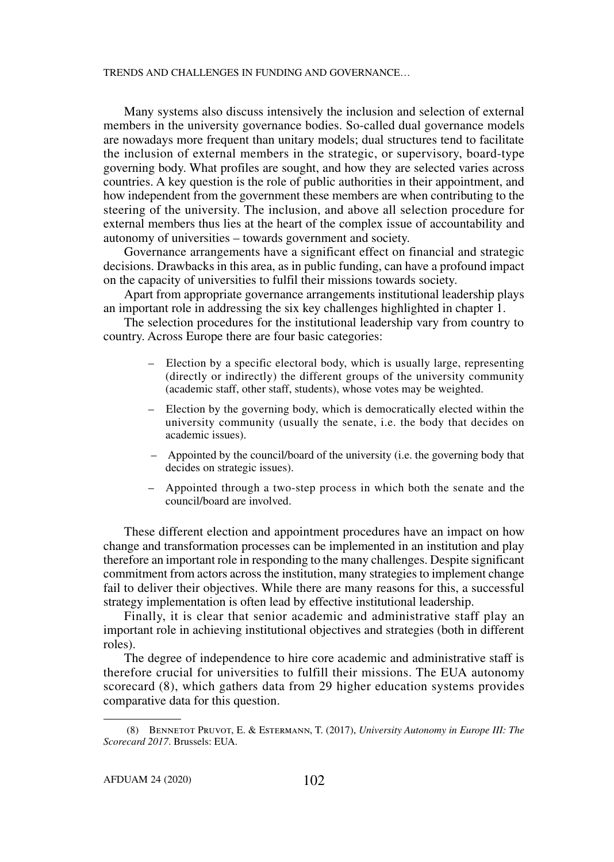Many systems also discuss intensively the inclusion and selection of external members in the university governance bodies. So-called dual governance models are nowadays more frequent than unitary models; dual structures tend to facilitate the inclusion of external members in the strategic, or supervisory, board-type governing body. What profiles are sought, and how they are selected varies across countries. A key question is the role of public authorities in their appointment, and how independent from the government these members are when contributing to the steering of the university. The inclusion, and above all selection procedure for external members thus lies at the heart of the complex issue of accountability and autonomy of universities – towards government and society.

Governance arrangements have a significant effect on financial and strategic decisions. Drawbacks in this area, as in public funding, can have a profound impact on the capacity of universities to fulfil their missions towards society.

Apart from appropriate governance arrangements institutional leadership plays an important role in addressing the six key challenges highlighted in chapter 1.

The selection procedures for the institutional leadership vary from country to country. Across Europe there are four basic categories:

- Election by a specific electoral body, which is usually large, representing (directly or indirectly) the different groups of the university community (academic staff, other staff, students), whose votes may be weighted.
- Election by the governing body, which is democratically elected within the university community (usually the senate, i.e. the body that decides on academic issues).
- Appointed by the council/board of the university (i.e. the governing body that decides on strategic issues).
- Appointed through a two-step process in which both the senate and the council/board are involved.

These different election and appointment procedures have an impact on how change and transformation processes can be implemented in an institution and play therefore an important role in responding to the many challenges. Despite significant commitment from actors across the institution, many strategies to implement change fail to deliver their objectives. While there are many reasons for this, a successful strategy implementation is often lead by effective institutional leadership.

Finally, it is clear that senior academic and administrative staff play an important role in achieving institutional objectives and strategies (both in different roles).

The degree of independence to hire core academic and administrative staff is therefore crucial for universities to fulfill their missions. The EUA autonomy scorecard (8), which gathers data from 29 higher education systems provides comparative data for this question.

 <sup>(8)</sup> Bennetot Pruvot, E. & Estermann, T. (2017), *University Autonomy in Europe III: The Scorecard 2017*. Brussels: EUA.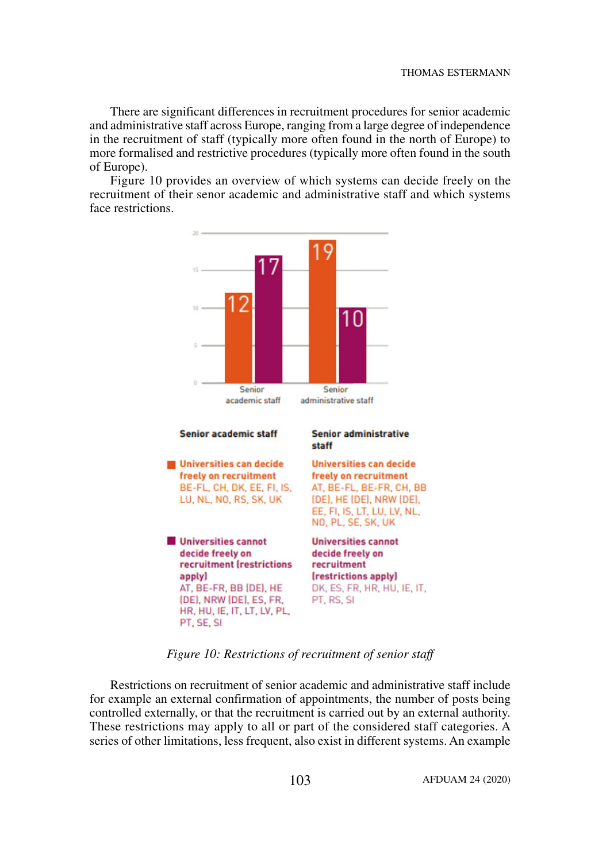There are significant differences in recruitment procedures for senior academic and administrative staff across Europe, ranging from a large degree of independence in the recruitment of staff (typically more often found in the north of Europe) to more formalised and restrictive procedures (typically more often found in the south of Europe).

Figure 10 provides an overview of which systems can decide freely on the recruitment of their senor academic and administrative staff and which systems face restrictions.



*Figure 10: Restrictions of recruitment of senior staff*

Restrictions on recruitment of senior academic and administrative staff include for example an external confirmation of appointments, the number of posts being controlled externally, or that the recruitment is carried out by an external authority. These restrictions may apply to all or part of the considered staff categories. A series of other limitations, less frequent, also exist in different systems. An example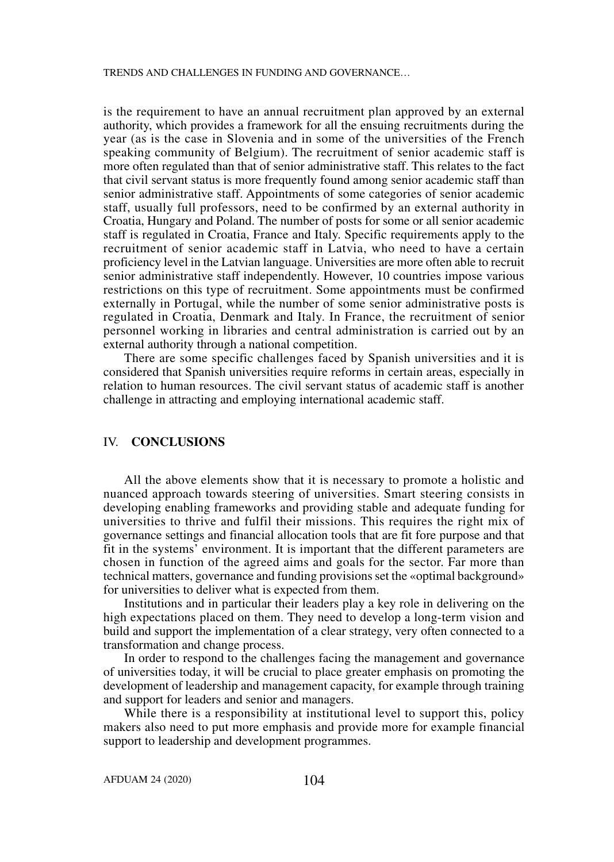is the requirement to have an annual recruitment plan approved by an external authority, which provides a framework for all the ensuing recruitments during the year (as is the case in Slovenia and in some of the universities of the French speaking community of Belgium). The recruitment of senior academic staff is more often regulated than that of senior administrative staff. This relates to the fact that civil servant status is more frequently found among senior academic staff than senior administrative staff. Appointments of some categories of senior academic staff, usually full professors, need to be confirmed by an external authority in Croatia, Hungary and Poland. The number of posts for some or all senior academic staff is regulated in Croatia, France and Italy. Specific requirements apply to the recruitment of senior academic staff in Latvia, who need to have a certain proficiency level in the Latvian language. Universities are more often able to recruit senior administrative staff independently. However, 10 countries impose various restrictions on this type of recruitment. Some appointments must be confirmed externally in Portugal, while the number of some senior administrative posts is regulated in Croatia, Denmark and Italy. In France, the recruitment of senior personnel working in libraries and central administration is carried out by an external authority through a national competition.

There are some specific challenges faced by Spanish universities and it is considered that Spanish universities require reforms in certain areas, especially in relation to human resources. The civil servant status of academic staff is another challenge in attracting and employing international academic staff.

# IV. **CONCLUSIONS**

All the above elements show that it is necessary to promote a holistic and nuanced approach towards steering of universities. Smart steering consists in developing enabling frameworks and providing stable and adequate funding for universities to thrive and fulfil their missions. This requires the right mix of governance settings and financial allocation tools that are fit fore purpose and that fit in the systems' environment. It is important that the different parameters are chosen in function of the agreed aims and goals for the sector. Far more than technical matters, governance and funding provisions set the «optimal background» for universities to deliver what is expected from them.

Institutions and in particular their leaders play a key role in delivering on the high expectations placed on them. They need to develop a long-term vision and build and support the implementation of a clear strategy, very often connected to a transformation and change process.

In order to respond to the challenges facing the management and governance of universities today, it will be crucial to place greater emphasis on promoting the development of leadership and management capacity, for example through training and support for leaders and senior and managers.

While there is a responsibility at institutional level to support this, policy makers also need to put more emphasis and provide more for example financial support to leadership and development programmes.